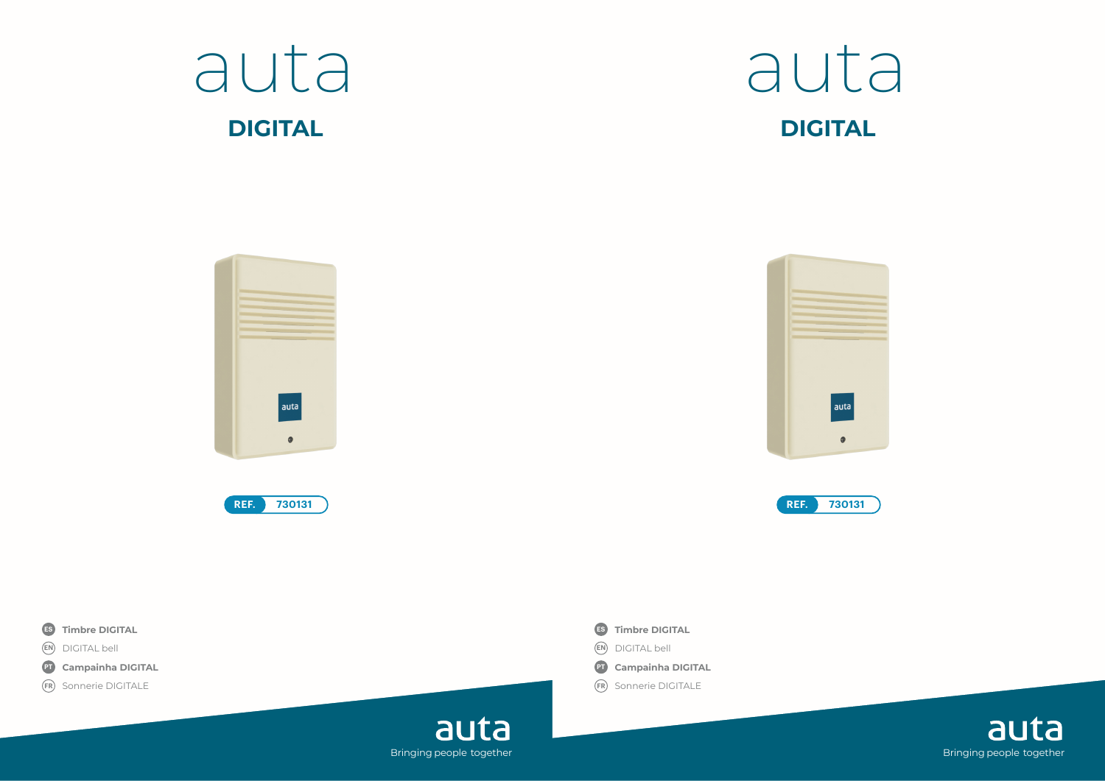